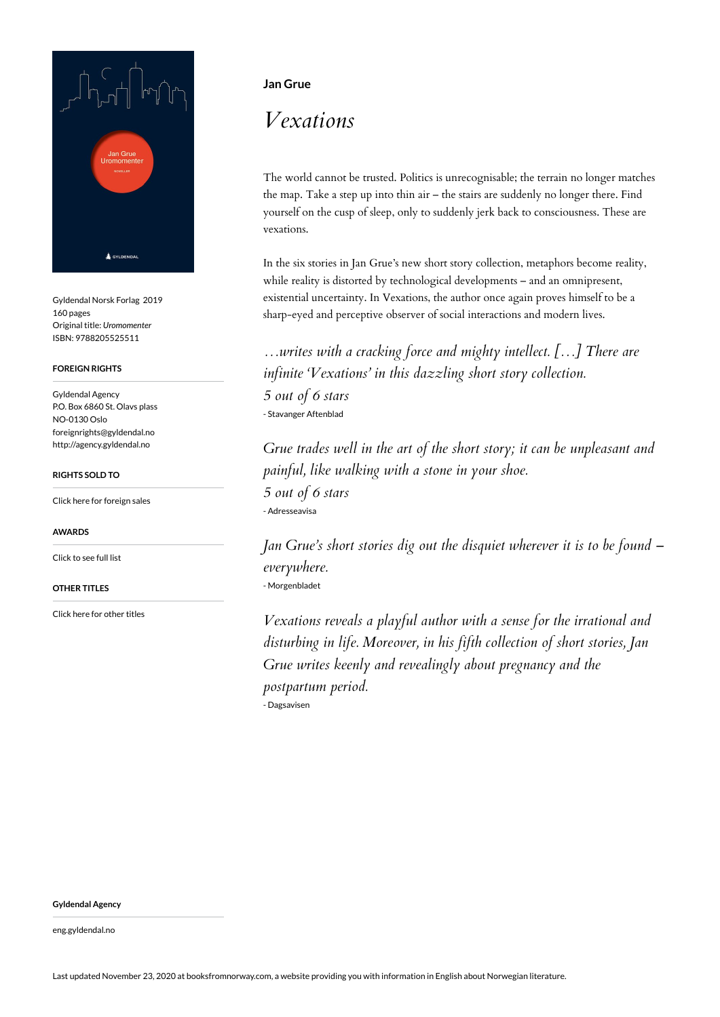

Gyldendal Norsk Forlag 2019 160 pages Original title: *Uromomenter* ISBN: 9788205525511

#### **FOREIGN RIGHTS**

Gyldendal Agency P.O. Box 6860 St. Olavs plass NO-0130 Oslo foreignrights@gyldendal.no http://agency.gyldendal.no

#### **RIGHTS SOLD TO**

[Click here for foreign sales](https://agency.gyldendal.no/authors/grue-jan/a-18572-en/)

#### **AWARDS**

[Click to see full list](https://agency.gyldendal.no/authors/grue-jan/a-18572-en/)

#### **OTHER TITLES**

[Click here for other titles](https://agency.gyldendal.no/authors/grue-jan/a-18572-en/)

### **Jan Grue**

# *Vexations*

The world cannot be trusted. Politics is unrecognisable; the terrain no longer matches the map. Take a step up into thin air – the stairs are suddenly no longer there. Find yourself on the cusp of sleep, only to suddenly jerk back to consciousness. These are vexations.

In the six stories in Jan Grue's new short story collection, metaphors become reality, while reality is distorted by technological developments – and an omnipresent, existential uncertainty. In Vexations, the author once again proves himself to be a sharp-eyed and perceptive observer of social interactions and modern lives.

*…writes with a cracking force and mighty intellect. […] There are infinite 'Vexations' in this dazzling short story collection. 5 out of 6 stars* - Stavanger Aftenblad

*Grue trades well in the art of the short story; it can be unpleasant and painful, like walking with a stone in your shoe. 5 out of 6 stars* - Adresseavisa

*Jan Grue's short stories dig out the disquiet wherever it is to be found – everywhere.* - Morgenbladet

*Vexations reveals a playful author with a sense for the irrational and disturbing in life. Moreover, in his fifth collection of short stories, Jan Grue writes keenly and revealingly about pregnancy and the postpartum period.* - Dagsavisen

**Gyldendal Agency**

eng.gyldendal.no